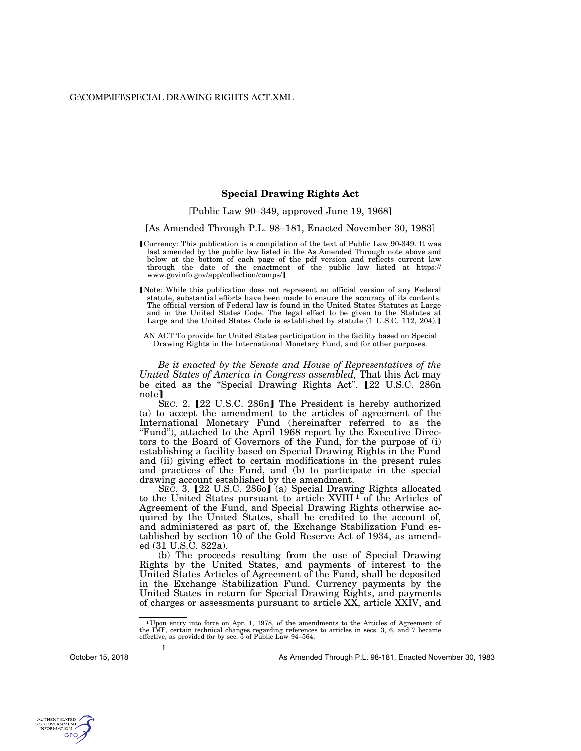## **Special Drawing Rights Act**

[Public Law 90–349, approved June 19, 1968]

[As Amended Through P.L. 98–181, Enacted November 30, 1983]

- øCurrency: This publication is a compilation of the text of Public Law 90-349. It was last amended by the public law listed in the As Amended Through note above and below at the bottom of each page of the pdf version and reflects current law through the date of the enactment of the public law listed at https:// www.govinfo.gov/app/collection/comps/
- [Note: While this publication does not represent an official version of any Federal statute, substantial efforts have been made to ensure the accuracy of its contents. The official version of Federal law is found in the United States Statutes at Large and in the United States Code. The legal effect to be given to the Statutes at Large and the United States Code is established by statute  $(1 \text{ U.S.C. } 112, 204)$ .
- AN ACT To provide for United States participation in the facility based on Special Drawing Rights in the International Monetary Fund, and for other purposes.

*Be it enacted by the Senate and House of Representatives of the United States of America in Congress assembled, That this Act may* be cited as the "Special Drawing Rights Act". **[**22 U.S.C. 286n note<sup>1</sup>

SEC. 2. **[22 U.S.C. 286n]** The President is hereby authorized (a) to accept the amendment to the articles of agreement of the International Monetary Fund (hereinafter referred to as the "Fund"), attached to the April 1968 report by the Executive Directors to the Board of Governors of the Fund, for the purpose of (i) establishing a facility based on Special Drawing Rights in the Fund and (ii) giving effect to certain modifications in the present rules and practices of the Fund, and (b) to participate in the special drawing account established by the amendment.

SEC. 3.  $[22 \text{ U.S.C. } 2860]$  (a) Special Drawing Rights allocated to the United States pursuant to article XVIII 1 of the Articles of Agreement of the Fund, and Special Drawing Rights otherwise acquired by the United States, shall be credited to the account of, and administered as part of, the Exchange Stabilization Fund established by section 10 of the Gold Reserve Act of 1934, as amended (31 U.S.C. 822a).

(b) The proceeds resulting from the use of Special Drawing Rights by the United States, and payments of interest to the United States Articles of Agreement of the Fund, shall be deposited in the Exchange Stabilization Fund. Currency payments by the United States in return for Special Drawing Rights, and payments of charges or assessments pursuant to article XX, article XXIV, and

October 15, 2018

**1** 

As Amended Through P.L. 98-181, Enacted November 30, 1983



<sup>1</sup> Upon entry into force on Apr. 1, 1978, of the amendments to the Articles of Agreement of the IMF, certain technical changes regarding references to articles in secs. 3, 6, and 7 became effective, as provided for by sec. 5 of Public Law 94–564.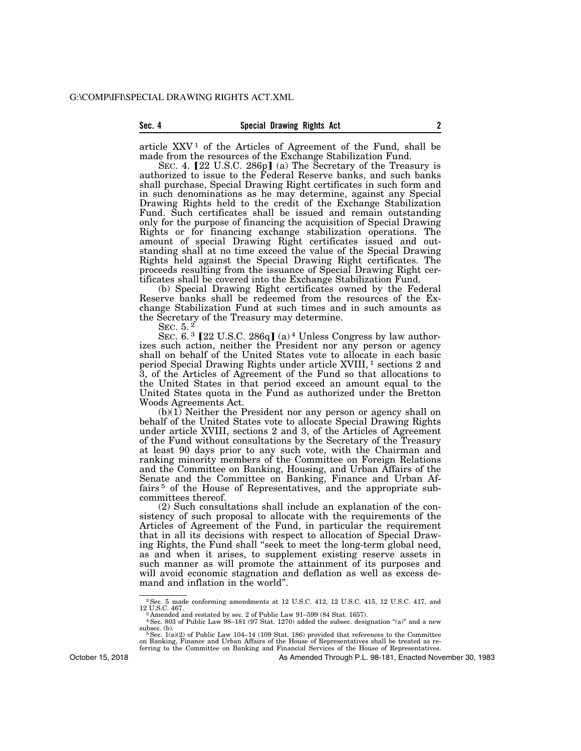article  $XXV<sup>1</sup>$  of the Articles of Agreement of the Fund, shall be made from the resources of the Exchange Stabilization Fund.

SEC. 4. [22 U.S.C. 286p] (a) The Secretary of the Treasury is authorized to issue to the Federal Reserve banks, and such banks shall purchase, Special Drawing Right certificates in such form and in such denominations as he may determine, against any Special Drawing Rights held to the credit of the Exchange Stabilization Fund. Such certificates shall be issued and remain outstanding only for the purpose of financing the acquisition of Special Drawing Rights or for financing exchange stabilization operations. The amount of special Drawing Right certificates issued and outstanding shall at no time exceed the value of the Special Drawing Rights held against the Special Drawing Right certificates. The proceeds resulting from the issuance of Special Drawing Right certificates shall be covered into the Exchange Stabilization Fund.

(b) Special Drawing Right certificates owned by the Federal Reserve banks shall be redeemed from the resources of the Exchange Stabilization Fund at such times and in such amounts as the Secretary of the Treasury may determine.

SEC. 5. 2

SEC.  $6.3$  [22 U.S.C. 286q] (a)<sup>4</sup> Unless Congress by law authorizes such action, neither the President nor any person or agency shall on behalf of the United States vote to allocate in each basic period Special Drawing Rights under article XVIII, 1 sections 2 and 3, of the Articles of Agreement of the Fund so that allocations to the United States in that period exceed an amount equal to the United States quota in the Fund as authorized under the Bretton Woods Agreements Act.

(b)(1) Neither the President nor any person or agency shall on behalf of the United States vote to allocate Special Drawing Rights under article XVIII, sections 2 and 3, of the Articles of Agreement of the Fund without consultations by the Secretary of the Treasury at least 90 days prior to any such vote, with the Chairman and ranking minority members of the Committee on Foreign Relations and the Committee on Banking, Housing, and Urban Affairs of the Senate and the Committee on Banking, Finance and Urban Affairs 5 of the House of Representatives, and the appropriate subcommittees thereof.

(2) Such consultations shall include an explanation of the consistency of such proposal to allocate with the requirements of the Articles of Agreement of the Fund, in particular the requirement that in all its decisions with respect to allocation of Special Drawing Rights, the Fund shall ''seek to meet the long-term global need, as and when it arises, to supplement existing reserve assets in such manner as will promote the attainment of its purposes and will avoid economic stagnation and deflation as well as excess demand and inflation in the world''.

As Amended Through P.L. 98-181, Enacted November 30, 1983

October 15, 2018

 $^2$  Sec. 5 made conforming amendments at 12 U.S.C. 412, 12 U.S.C. 415, 12 U.S.C. 417, and 12 U.S.C. 467. 12 U.S.C. 467. 3 Amended and restated by sec. 2 of Public Law 91–599 (84 Stat. 1657). 4Sec. 803 of Public Law 98–181 (97 Stat. 1270) added the subsec. designation ''(a)'' and a new

subsec. (b).<br><sup>5</sup> Sec. 1(a)(2) of Public Law 104–14 (109 Stat. 186) provided that references to the Committee<br>on Banking, Finance and Urban Affairs of the House of Representatives shall be treated as re-<br>ferring to the Comm